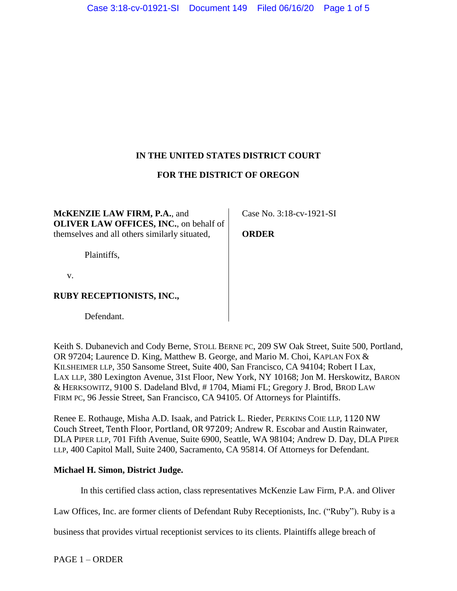# **IN THE UNITED STATES DISTRICT COURT**

# **FOR THE DISTRICT OF OREGON**

**McKENZIE LAW FIRM, P.A.**, and **OLIVER LAW OFFICES, INC.**, on behalf of themselves and all others similarly situated,

Plaintiffs,

v.

## **RUBY RECEPTIONISTS, INC.,**

Defendant.

Keith S. Dubanevich and Cody Berne, STOLL BERNE PC, 209 SW Oak Street, Suite 500, Portland, OR 97204; Laurence D. King, Matthew B. George, and Mario M. Choi, KAPLAN FOX & KILSHEIMER LLP, 350 Sansome Street, Suite 400, San Francisco, CA 94104; Robert I Lax, LAX LLP, 380 Lexington Avenue, 31st Floor, New York, NY 10168; Jon M. Herskowitz, BARON & HERKSOWITZ, 9100 S. Dadeland Blvd, # 1704, Miami FL; Gregory J. Brod, BROD LAW FIRM PC, 96 Jessie Street, San Francisco, CA 94105. Of Attorneys for Plaintiffs.

Renee E. Rothauge, Misha A.D. Isaak, and Patrick L. Rieder, PERKINS COIE LLP, 1120 NW Couch Street, Tenth Floor, Portland, OR 97209; Andrew R. Escobar and Austin Rainwater, DLA PIPER LLP, 701 Fifth Avenue, Suite 6900, Seattle, WA 98104; Andrew D. Day, DLA PIPER LLP, 400 Capitol Mall, Suite 2400, Sacramento, CA 95814. Of Attorneys for Defendant.

### **Michael H. Simon, District Judge.**

In this certified class action, class representatives McKenzie Law Firm, P.A. and Oliver

Law Offices, Inc. are former clients of Defendant Ruby Receptionists, Inc. ("Ruby"). Ruby is a

business that provides virtual receptionist services to its clients. Plaintiffs allege breach of

PAGE 1 – ORDER

Case No. 3:18-cv-1921-SI

**ORDER**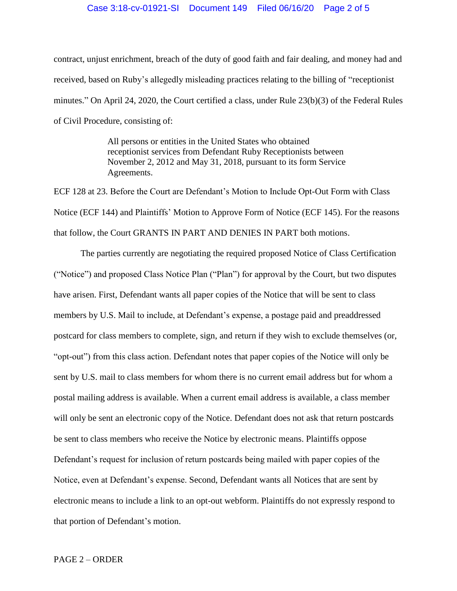#### Case 3:18-cv-01921-SI Document 149 Filed 06/16/20 Page 2 of 5

contract, unjust enrichment, breach of the duty of good faith and fair dealing, and money had and received, based on Ruby's allegedly misleading practices relating to the billing of "receptionist minutes." On April 24, 2020, the Court certified a class, under Rule 23(b)(3) of the Federal Rules of Civil Procedure, consisting of:

> All persons or entities in the United States who obtained receptionist services from Defendant Ruby Receptionists between November 2, 2012 and May 31, 2018, pursuant to its form Service Agreements.

ECF 128 at 23. Before the Court are Defendant's Motion to Include Opt-Out Form with Class Notice (ECF 144) and Plaintiffs' Motion to Approve Form of Notice (ECF 145). For the reasons that follow, the Court GRANTS IN PART AND DENIES IN PART both motions.

The parties currently are negotiating the required proposed Notice of Class Certification ("Notice") and proposed Class Notice Plan ("Plan") for approval by the Court, but two disputes have arisen. First, Defendant wants all paper copies of the Notice that will be sent to class members by U.S. Mail to include, at Defendant's expense, a postage paid and preaddressed postcard for class members to complete, sign, and return if they wish to exclude themselves (or, "opt-out") from this class action. Defendant notes that paper copies of the Notice will only be sent by U.S. mail to class members for whom there is no current email address but for whom a postal mailing address is available. When a current email address is available, a class member will only be sent an electronic copy of the Notice. Defendant does not ask that return postcards be sent to class members who receive the Notice by electronic means. Plaintiffs oppose Defendant's request for inclusion of return postcards being mailed with paper copies of the Notice, even at Defendant's expense. Second, Defendant wants all Notices that are sent by electronic means to include a link to an opt-out webform. Plaintiffs do not expressly respond to that portion of Defendant's motion.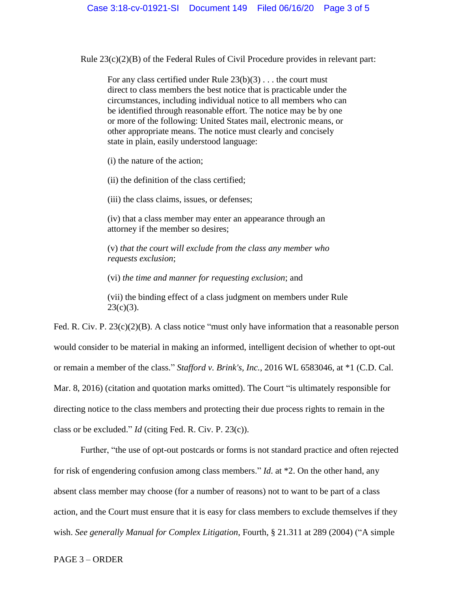Rule  $23(c)(2)(B)$  of the Federal Rules of Civil Procedure provides in relevant part:

For any class certified under Rule 23(b)(3) . . . the court must direct to class members the best notice that is practicable under the circumstances, including individual notice to all members who can be identified through reasonable effort. The notice may be by one or more of the following: United States mail, electronic means, or other appropriate means. The notice must clearly and concisely state in plain, easily understood language:

(i) the nature of the action;

(ii) the definition of the class certified;

(iii) the class claims, issues, or defenses;

(iv) that a class member may enter an appearance through an attorney if the member so desires;

(v) *that the court will exclude from the class any member who requests exclusion*;

(vi) *the time and manner for requesting exclusion*; and

(vii) the binding effect of a class judgment on members under Rule  $23(c)(3)$ .

Fed. R. Civ. P. 23(c)(2)(B). A class notice "must only have information that a reasonable person would consider to be material in making an informed, intelligent decision of whether to opt-out or remain a member of the class." *Stafford v. Brink's, Inc.*, 2016 WL 6583046, at \*1 (C.D. Cal. Mar. 8, 2016) (citation and quotation marks omitted). The Court "is ultimately responsible for directing notice to the class members and protecting their due process rights to remain in the class or be excluded." *Id* (citing Fed. R. Civ. P. 23(c)).

Further, "the use of opt-out postcards or forms is not standard practice and often rejected for risk of engendering confusion among class members." *Id*. at \*2. On the other hand, any absent class member may choose (for a number of reasons) not to want to be part of a class action, and the Court must ensure that it is easy for class members to exclude themselves if they wish. *See generally Manual for Complex Litigation*, Fourth, § 21.311 at 289 (2004) ("A simple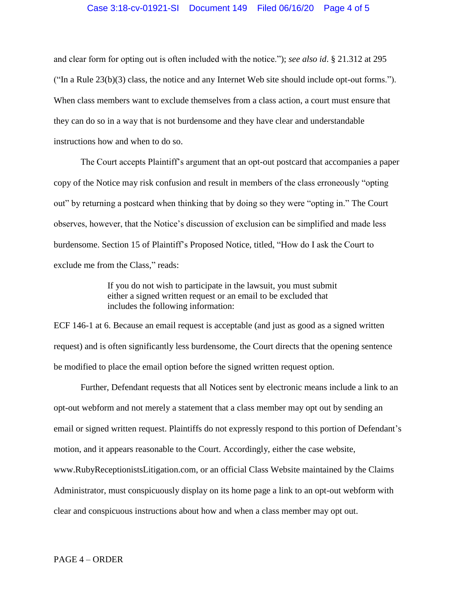#### Case 3:18-cv-01921-SI Document 149 Filed 06/16/20 Page 4 of 5

and clear form for opting out is often included with the notice."); *see also id*. § 21.312 at 295 ("In a Rule 23(b)(3) class, the notice and any Internet Web site should include opt-out forms."). When class members want to exclude themselves from a class action, a court must ensure that they can do so in a way that is not burdensome and they have clear and understandable instructions how and when to do so.

The Court accepts Plaintiff's argument that an opt-out postcard that accompanies a paper copy of the Notice may risk confusion and result in members of the class erroneously "opting out" by returning a postcard when thinking that by doing so they were "opting in." The Court observes, however, that the Notice's discussion of exclusion can be simplified and made less burdensome. Section 15 of Plaintiff's Proposed Notice, titled, "How do I ask the Court to exclude me from the Class," reads:

> If you do not wish to participate in the lawsuit, you must submit either a signed written request or an email to be excluded that includes the following information:

ECF 146-1 at 6. Because an email request is acceptable (and just as good as a signed written request) and is often significantly less burdensome, the Court directs that the opening sentence be modified to place the email option before the signed written request option.

Further, Defendant requests that all Notices sent by electronic means include a link to an opt-out webform and not merely a statement that a class member may opt out by sending an email or signed written request. Plaintiffs do not expressly respond to this portion of Defendant's motion, and it appears reasonable to the Court. Accordingly, either the case website, www.RubyReceptionistsLitigation.com, or an official Class Website maintained by the Claims Administrator, must conspicuously display on its home page a link to an opt-out webform with clear and conspicuous instructions about how and when a class member may opt out.